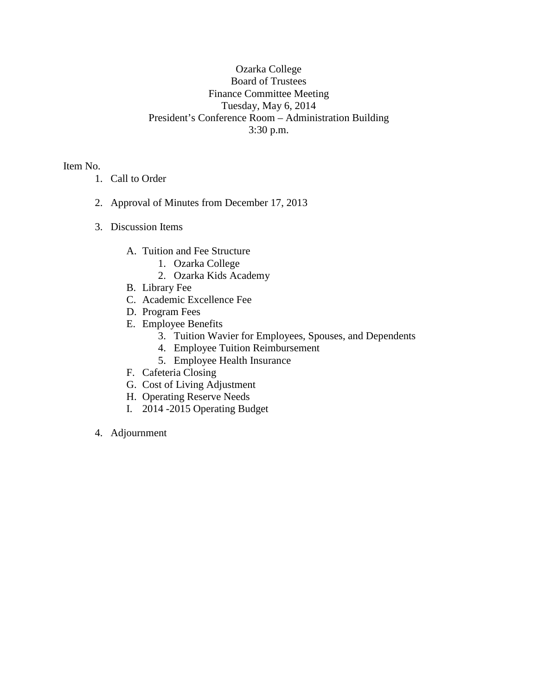## Ozarka College Board of Trustees Finance Committee Meeting Tuesday, May 6, 2014 President's Conference Room – Administration Building 3:30 p.m.

Item No.

- 1. Call to Order
- 2. Approval of Minutes from December 17, 2013
- 3. Discussion Items
	- A. Tuition and Fee Structure
		- 1. Ozarka College
		- 2. Ozarka Kids Academy
	- B. Library Fee
	- C. Academic Excellence Fee
	- D. Program Fees
	- E. Employee Benefits
		- 3. Tuition Wavier for Employees, Spouses, and Dependents
		- 4. Employee Tuition Reimbursement
		- 5. Employee Health Insurance
	- F. Cafeteria Closing
	- G. Cost of Living Adjustment
	- H. Operating Reserve Needs
	- I. 2014 -2015 Operating Budget
- 4. Adjournment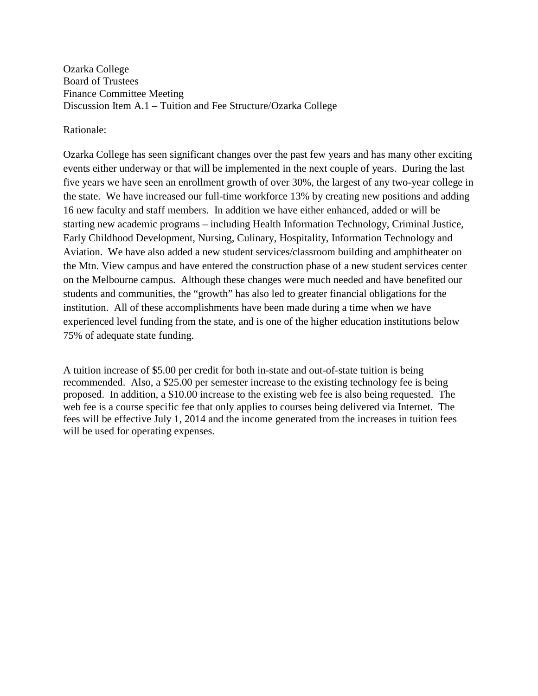Ozarka College Board of Trustees Finance Committee Meeting Discussion Item A.1 – Tuition and Fee Structure/Ozarka College

Rationale:

Ozarka College has seen significant changes over the past few years and has many other exciting events either underway or that will be implemented in the next couple of years. During the last five years we have seen an enrollment growth of over 30%, the largest of any two-year college in the state. We have increased our full-time workforce 13% by creating new positions and adding 16 new faculty and staff members. In addition we have either enhanced, added or will be starting new academic programs – including Health Information Technology, Criminal Justice, Early Childhood Development, Nursing, Culinary, Hospitality, Information Technology and Aviation. We have also added a new student services/classroom building and amphitheater on the Mtn. View campus and have entered the construction phase of a new student services center on the Melbourne campus. Although these changes were much needed and have benefited our students and communities, the "growth" has also led to greater financial obligations for the institution. All of these accomplishments have been made during a time when we have experienced level funding from the state, and is one of the higher education institutions below 75% of adequate state funding.

A tuition increase of \$5.00 per credit for both in-state and out-of-state tuition is being recommended. Also, a \$25.00 per semester increase to the existing technology fee is being proposed. In addition, a \$10.00 increase to the existing web fee is also being requested. The web fee is a course specific fee that only applies to courses being delivered via Internet. The fees will be effective July 1, 2014 and the income generated from the increases in tuition fees will be used for operating expenses.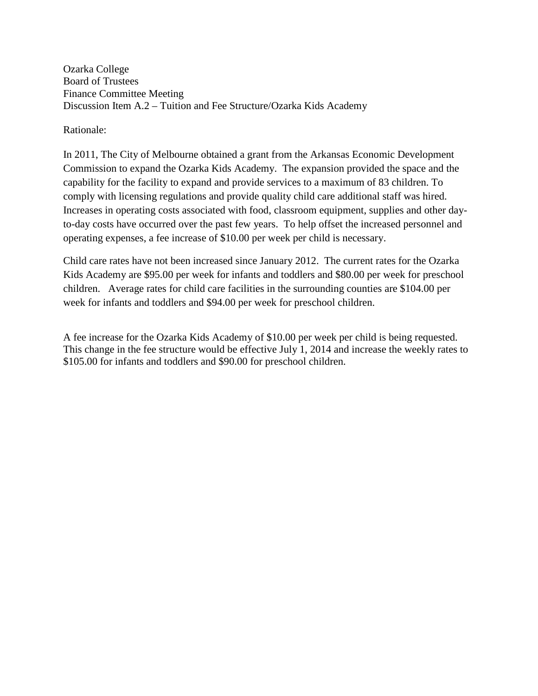Ozarka College Board of Trustees Finance Committee Meeting Discussion Item A.2 – Tuition and Fee Structure/Ozarka Kids Academy

Rationale:

In 2011, The City of Melbourne obtained a grant from the Arkansas Economic Development Commission to expand the Ozarka Kids Academy. The expansion provided the space and the capability for the facility to expand and provide services to a maximum of 83 children. To comply with licensing regulations and provide quality child care additional staff was hired. Increases in operating costs associated with food, classroom equipment, supplies and other dayto-day costs have occurred over the past few years. To help offset the increased personnel and operating expenses, a fee increase of \$10.00 per week per child is necessary.

Child care rates have not been increased since January 2012. The current rates for the Ozarka Kids Academy are \$95.00 per week for infants and toddlers and \$80.00 per week for preschool children. Average rates for child care facilities in the surrounding counties are \$104.00 per week for infants and toddlers and \$94.00 per week for preschool children.

A fee increase for the Ozarka Kids Academy of \$10.00 per week per child is being requested. This change in the fee structure would be effective July 1, 2014 and increase the weekly rates to \$105.00 for infants and toddlers and \$90.00 for preschool children.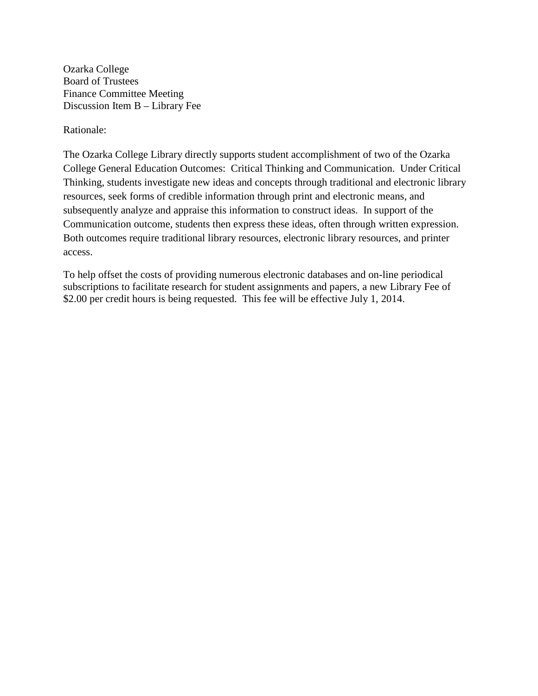Ozarka College Board of Trustees Finance Committee Meeting Discussion Item B – Library Fee

Rationale:

The Ozarka College Library directly supports student accomplishment of two of the Ozarka College General Education Outcomes: Critical Thinking and Communication. Under Critical Thinking, students investigate new ideas and concepts through traditional and electronic library resources, seek forms of credible information through print and electronic means, and subsequently analyze and appraise this information to construct ideas. In support of the Communication outcome, students then express these ideas, often through written expression. Both outcomes require traditional library resources, electronic library resources, and printer access.

To help offset the costs of providing numerous electronic databases and on-line periodical subscriptions to facilitate research for student assignments and papers, a new Library Fee of \$2.00 per credit hours is being requested. This fee will be effective July 1, 2014.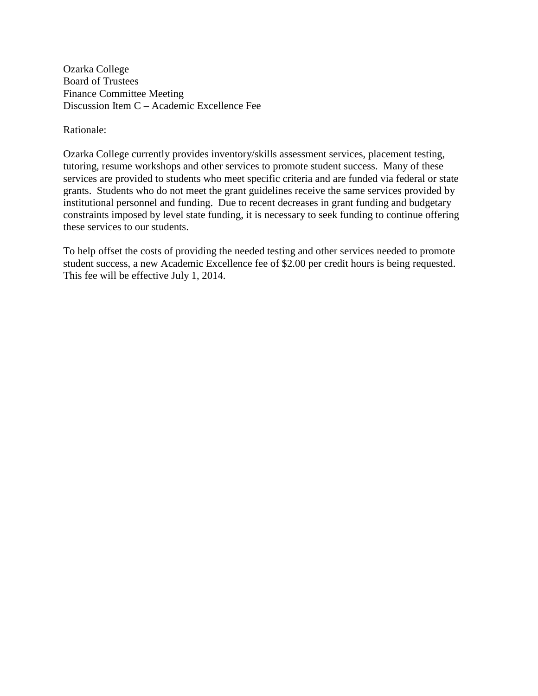Ozarka College Board of Trustees Finance Committee Meeting Discussion Item C – Academic Excellence Fee

Rationale:

Ozarka College currently provides inventory/skills assessment services, placement testing, tutoring, resume workshops and other services to promote student success. Many of these services are provided to students who meet specific criteria and are funded via federal or state grants. Students who do not meet the grant guidelines receive the same services provided by institutional personnel and funding. Due to recent decreases in grant funding and budgetary constraints imposed by level state funding, it is necessary to seek funding to continue offering these services to our students.

To help offset the costs of providing the needed testing and other services needed to promote student success, a new Academic Excellence fee of \$2.00 per credit hours is being requested. This fee will be effective July 1, 2014.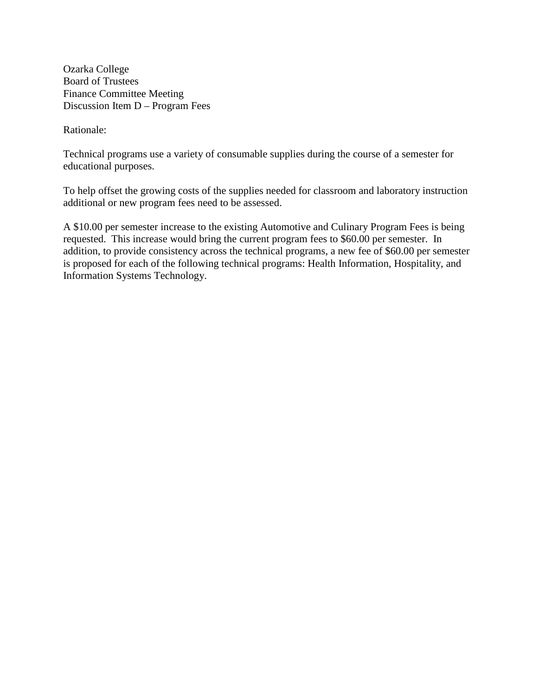Ozarka College Board of Trustees Finance Committee Meeting Discussion Item D – Program Fees

Rationale:

Technical programs use a variety of consumable supplies during the course of a semester for educational purposes.

To help offset the growing costs of the supplies needed for classroom and laboratory instruction additional or new program fees need to be assessed.

A \$10.00 per semester increase to the existing Automotive and Culinary Program Fees is being requested. This increase would bring the current program fees to \$60.00 per semester. In addition, to provide consistency across the technical programs, a new fee of \$60.00 per semester is proposed for each of the following technical programs: Health Information, Hospitality, and Information Systems Technology.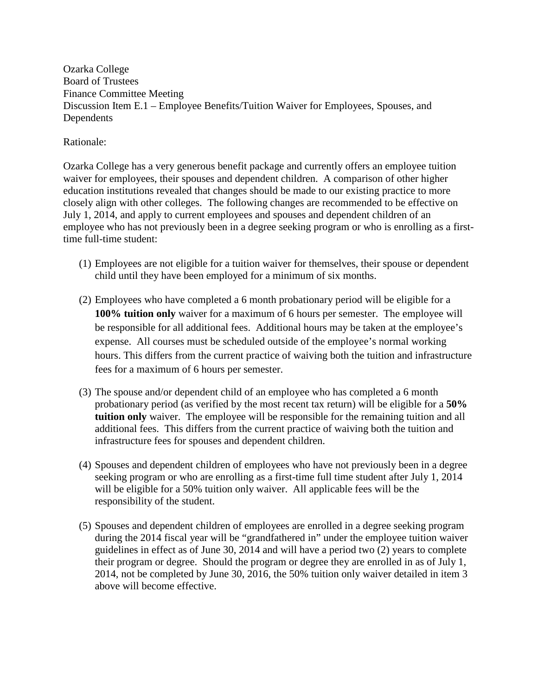Ozarka College Board of Trustees Finance Committee Meeting Discussion Item E.1 – Employee Benefits/Tuition Waiver for Employees, Spouses, and Dependents

Rationale:

Ozarka College has a very generous benefit package and currently offers an employee tuition waiver for employees, their spouses and dependent children. A comparison of other higher education institutions revealed that changes should be made to our existing practice to more closely align with other colleges. The following changes are recommended to be effective on July 1, 2014, and apply to current employees and spouses and dependent children of an employee who has not previously been in a degree seeking program or who is enrolling as a firsttime full-time student:

- (1) Employees are not eligible for a tuition waiver for themselves, their spouse or dependent child until they have been employed for a minimum of six months.
- (2) Employees who have completed a 6 month probationary period will be eligible for a **100% tuition only** waiver for a maximum of 6 hours per semester. The employee will be responsible for all additional fees. Additional hours may be taken at the employee's expense. All courses must be scheduled outside of the employee's normal working hours. This differs from the current practice of waiving both the tuition and infrastructure fees for a maximum of 6 hours per semester.
- (3) The spouse and/or dependent child of an employee who has completed a 6 month probationary period (as verified by the most recent tax return) will be eligible for a **50% tuition only** waiver. The employee will be responsible for the remaining tuition and all additional fees. This differs from the current practice of waiving both the tuition and infrastructure fees for spouses and dependent children.
- (4) Spouses and dependent children of employees who have not previously been in a degree seeking program or who are enrolling as a first-time full time student after July 1, 2014 will be eligible for a 50% tuition only waiver. All applicable fees will be the responsibility of the student.
- (5) Spouses and dependent children of employees are enrolled in a degree seeking program during the 2014 fiscal year will be "grandfathered in" under the employee tuition waiver guidelines in effect as of June 30, 2014 and will have a period two (2) years to complete their program or degree. Should the program or degree they are enrolled in as of July 1, 2014, not be completed by June 30, 2016, the 50% tuition only waiver detailed in item 3 above will become effective.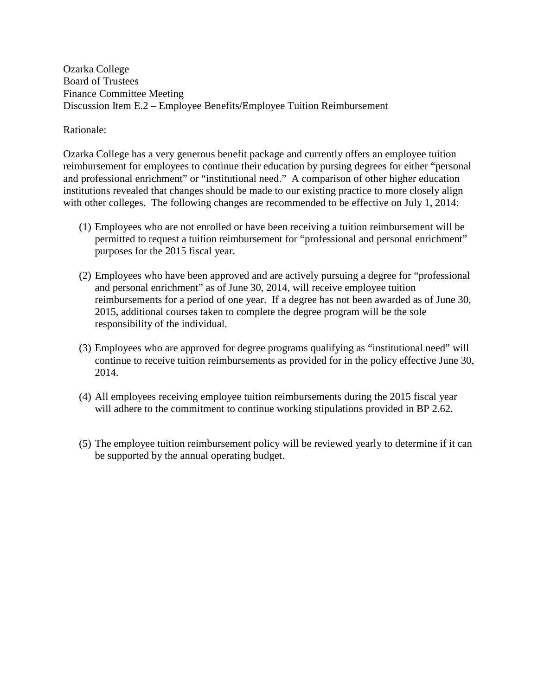Ozarka College Board of Trustees Finance Committee Meeting Discussion Item E.2 – Employee Benefits/Employee Tuition Reimbursement

## Rationale:

Ozarka College has a very generous benefit package and currently offers an employee tuition reimbursement for employees to continue their education by pursing degrees for either "personal and professional enrichment" or "institutional need." A comparison of other higher education institutions revealed that changes should be made to our existing practice to more closely align with other colleges. The following changes are recommended to be effective on July 1, 2014:

- (1) Employees who are not enrolled or have been receiving a tuition reimbursement will be permitted to request a tuition reimbursement for "professional and personal enrichment" purposes for the 2015 fiscal year.
- (2) Employees who have been approved and are actively pursuing a degree for "professional and personal enrichment" as of June 30, 2014, will receive employee tuition reimbursements for a period of one year. If a degree has not been awarded as of June 30, 2015, additional courses taken to complete the degree program will be the sole responsibility of the individual.
- (3) Employees who are approved for degree programs qualifying as "institutional need" will continue to receive tuition reimbursements as provided for in the policy effective June 30, 2014.
- (4) All employees receiving employee tuition reimbursements during the 2015 fiscal year will adhere to the commitment to continue working stipulations provided in BP 2.62.
- (5) The employee tuition reimbursement policy will be reviewed yearly to determine if it can be supported by the annual operating budget.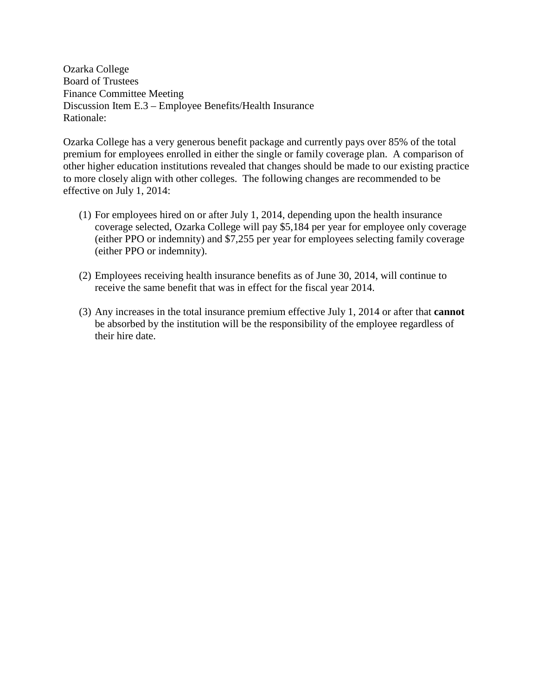Ozarka College Board of Trustees Finance Committee Meeting Discussion Item E.3 – Employee Benefits/Health Insurance Rationale:

Ozarka College has a very generous benefit package and currently pays over 85% of the total premium for employees enrolled in either the single or family coverage plan. A comparison of other higher education institutions revealed that changes should be made to our existing practice to more closely align with other colleges. The following changes are recommended to be effective on July 1, 2014:

- (1) For employees hired on or after July 1, 2014, depending upon the health insurance coverage selected, Ozarka College will pay \$5,184 per year for employee only coverage (either PPO or indemnity) and \$7,255 per year for employees selecting family coverage (either PPO or indemnity).
- (2) Employees receiving health insurance benefits as of June 30, 2014, will continue to receive the same benefit that was in effect for the fiscal year 2014.
- (3) Any increases in the total insurance premium effective July 1, 2014 or after that **cannot** be absorbed by the institution will be the responsibility of the employee regardless of their hire date.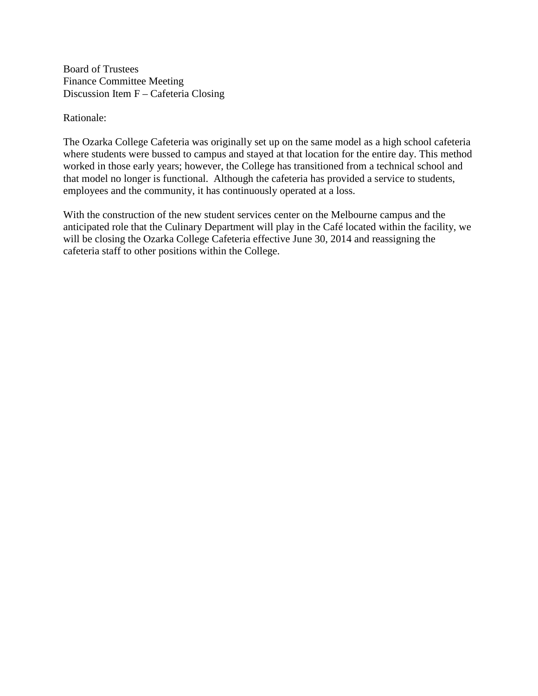Board of Trustees Finance Committee Meeting Discussion Item F – Cafeteria Closing

Rationale:

The Ozarka College Cafeteria was originally set up on the same model as a high school cafeteria where students were bussed to campus and stayed at that location for the entire day. This method worked in those early years; however, the College has transitioned from a technical school and that model no longer is functional. Although the cafeteria has provided a service to students, employees and the community, it has continuously operated at a loss.

With the construction of the new student services center on the Melbourne campus and the anticipated role that the Culinary Department will play in the Café located within the facility, we will be closing the Ozarka College Cafeteria effective June 30, 2014 and reassigning the cafeteria staff to other positions within the College.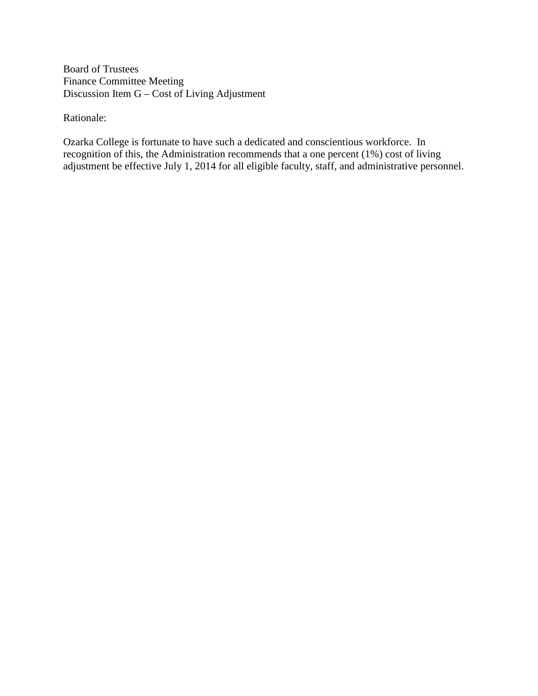Board of Trustees Finance Committee Meeting Discussion Item G – Cost of Living Adjustment

Rationale:

Ozarka College is fortunate to have such a dedicated and conscientious workforce. In recognition of this, the Administration recommends that a one percent (1%) cost of living adjustment be effective July 1, 2014 for all eligible faculty, staff, and administrative personnel.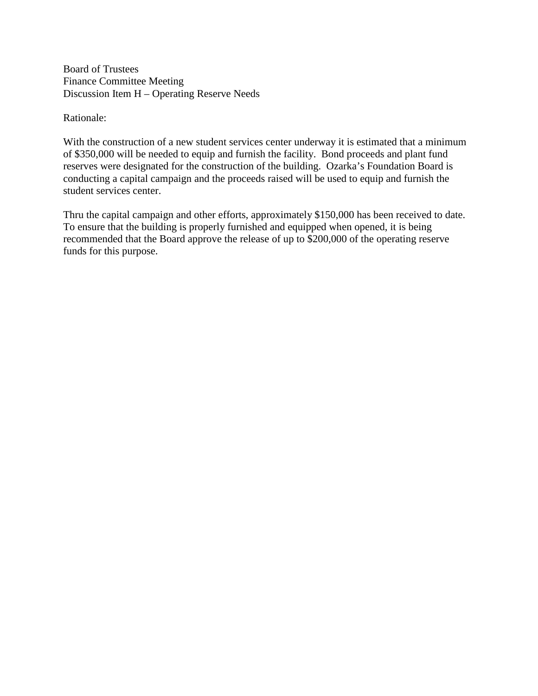Board of Trustees Finance Committee Meeting Discussion Item H – Operating Reserve Needs

Rationale:

With the construction of a new student services center underway it is estimated that a minimum of \$350,000 will be needed to equip and furnish the facility. Bond proceeds and plant fund reserves were designated for the construction of the building. Ozarka's Foundation Board is conducting a capital campaign and the proceeds raised will be used to equip and furnish the student services center.

Thru the capital campaign and other efforts, approximately \$150,000 has been received to date. To ensure that the building is properly furnished and equipped when opened, it is being recommended that the Board approve the release of up to \$200,000 of the operating reserve funds for this purpose.